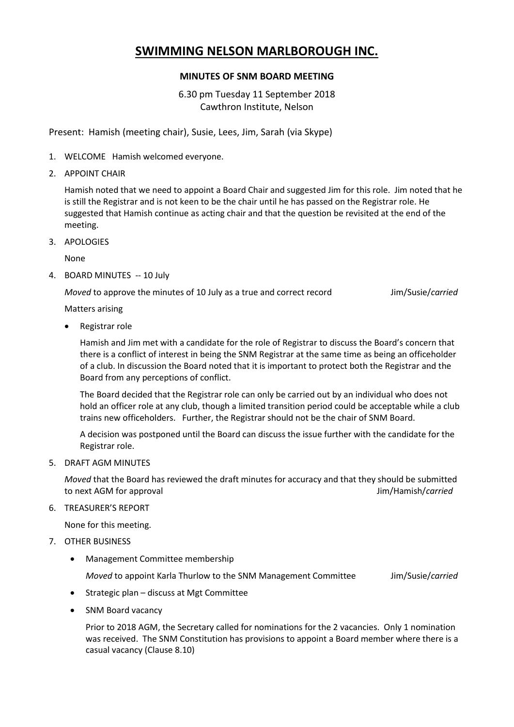## **SWIMMING NELSON MARLBOROUGH INC.**

## **MINUTES OF SNM BOARD MEETING**

6.30 pm Tuesday 11 September 2018 Cawthron Institute, Nelson

Present: Hamish (meeting chair), Susie, Lees, Jim, Sarah (via Skype)

- 1. WELCOME Hamish welcomed everyone.
- 2. APPOINT CHAIR

Hamish noted that we need to appoint a Board Chair and suggested Jim for this role. Jim noted that he is still the Registrar and is not keen to be the chair until he has passed on the Registrar role. He suggested that Hamish continue as acting chair and that the question be revisited at the end of the meeting.

3. APOLOGIES

None

4. BOARD MINUTES -- 10 July

*Moved* to approve the minutes of 10 July as a true and correct record Jim/Susie/*carried* 

Matters arising

Registrar role

Hamish and Jim met with a candidate for the role of Registrar to discuss the Board's concern that there is a conflict of interest in being the SNM Registrar at the same time as being an officeholder of a club. In discussion the Board noted that it is important to protect both the Registrar and the Board from any perceptions of conflict.

The Board decided that the Registrar role can only be carried out by an individual who does not hold an officer role at any club, though a limited transition period could be acceptable while a club trains new officeholders. Further, the Registrar should not be the chair of SNM Board.

A decision was postponed until the Board can discuss the issue further with the candidate for the Registrar role.

5. DRAFT AGM MINUTES

*Moved* that the Board has reviewed the draft minutes for accuracy and that they should be submitted to next AGM for approval Jim/Hamish/*carried*

6. TREASURER'S REPORT

None for this meeting.

- 7. OTHER BUSINESS
	- Management Committee membership

*Moved* to appoint Karla Thurlow to the SNM Management Committee Jim/Susie/*carried*

- Strategic plan discuss at Mgt Committee
- SNM Board vacancy

Prior to 2018 AGM, the Secretary called for nominations for the 2 vacancies. Only 1 nomination was received. The SNM Constitution has provisions to appoint a Board member where there is a casual vacancy (Clause 8.10)